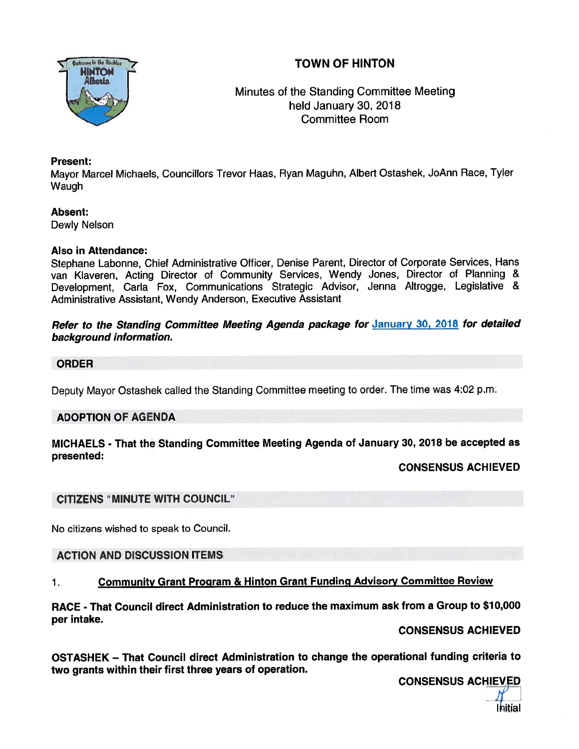# TOWN OF HINTON



# Minutes of the Standing Committee Meeting held January 30, 2018 Committee Room

### Present:

Mayor Marcel Michaels, Councillors Trevor Haas, Ryan Maguhn, Albert Ostashek, JoAnn Race, Tyler Waugh

## Absent:

Dewly Nelson

## Also in Attendance:

Stephane Labonne, Chief Administrative Officer, Denise Parent, Director of Corporate Services, Hans van Klaveren, Acting Director of Community Services, Wendy Jones, Director of Planning & Development, Carla Fox, Communications Strategic Advisor, Jenna Altrogge, Legislative & Administrative Assistant, Wendy Anderson, Executive Assistant

## Refer to the Standing Committee Meeting Agenda package for January 30, 2018 for detailed background information.

## ORDER

Deputy Mayor Ostashek called the Standing Committee meeting to order. The time was 4:02 p.m.

# ADOPTION OF AGENDA

## MICHAELS - That the Standing Committee Meeting Agenda of January 30, <sup>2018</sup> be accepted as presented:

CONSENSUS ACHIEVED

# CITIZENS "MINUTE WITH COUNCIL"

No citizens wished to speak to Council.

# ACTION AND DISCUSSION ITEMS

# 1. Community Grant Program & Hinton Grant Funding Advisory Committee Review

RACE - That Council direct Administration to reduce the maximum ask from <sup>a</sup> Group to \$10,000 per intake.

#### CONSENSUS ACHIEVED

OSTASHEK — That Council direct Administration to change the operational funding criteria to two grants within their first three years of operation.

CONSENSUS ACHIEVED

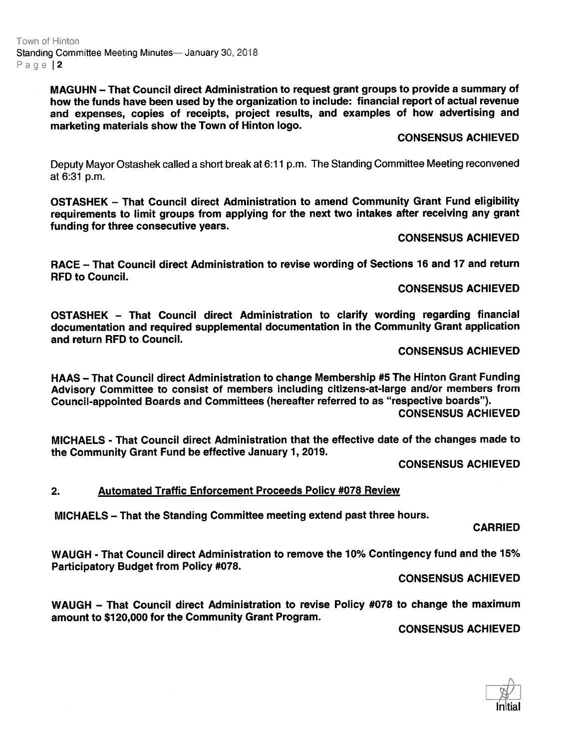Town of Hinton Standing Committee Meeting Minutes— January 30, 2018 Page |2

> MAGUHN — That Council direct Administration to reques<sup>t</sup> gran<sup>t</sup> groups to provide <sup>a</sup> summary of how the funds have been used by the organization to include: financial repor<sup>t</sup> of actual revenue and expenses, copies of receipts, project results, and examples of how advertising and marketing materials show the Town of Hinton logo.

#### CONSENSUS ACHIEVED

Deputy Mayor Ostashek called <sup>a</sup> short break at 6:11 p.m. The Standing Committee Meeting reconvened at 6:31 p.m.

OSTASHEK — That Council direct Administration to amend Community Grant Fund eligibility requirements to limit groups from applying for the next two intakes after receiving any gran<sup>t</sup> funding for three consecutive years.

#### CONSENSUS ACHIEVED

RACE – That Council direct Administration to revise wording of Sections 16 and 17 and return RFD to Council.

#### CONSENSUS ACHIEVED

OSTASHEK — That Council direct Administration to clarify wording regarding financial documentation and required supplemental documentation in the Community Grant application and return RFD to Council.

#### CONSENSUS ACHIEVED

HAAS — That Council direct Administration to change Membership #5 The Hinton Grant Funding Advisory Committee to consist of members including citizens-at-large and/or members from Council-appointed Boards and Committees (hereafter referred to as "respective boards"). CONSENSUS ACHIEVED

MICHAELS - That Council direct Administration that the effective date of the changes made to the Community Grant Fund be effective January 1,2019.

CONSENSUS ACHIEVED

#### 2. Automated Traffic Enforcement Proceeds Policy #078 Review

MICHAELS — That the Standing Committee meeting extend pas<sup>t</sup> three hours.

#### CARRIED

WAUGH - That Council direct Administration to remove the 70% Contingency fund and the 15% Participatory Budget from Policy #078.

CONSENSUS ACHIEVED

WAUGH — That Council direct Administration to revise Policy #078 to change the maximum amount to \$120,000 for the Community Grant Program.

CONSENSUS ACHIEVED